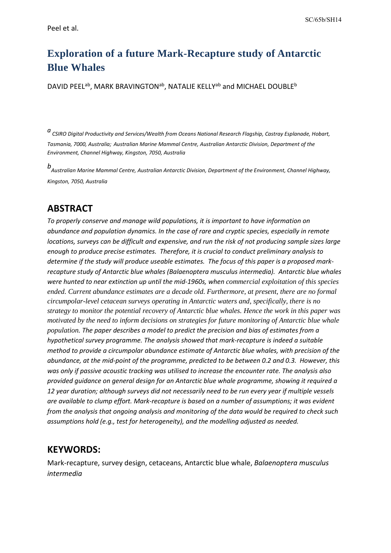# **Exploration of a future Mark-Recapture study of Antarctic Blue Whales**

DAVID PEEL<sup>ab</sup>, MARK BRAVINGTON<sup>ab</sup>, NATALIE KELLY<sup>ab</sup> and MICHAEL DOUBLE<sup>b</sup>

*<sup>a</sup> CSIRO Digital Productivity and Services/Wealth from Oceans National Research Flagship, Castray Esplanade, Hobart, Tasmania, 7000, Australia; Australian Marine Mammal Centre, Australian Antarctic Division, Department of the Environment, Channel Highway, Kingston, 7050, Australia*

*b Australian Marine Mammal Centre, Australian Antarctic Division, Department of the Environment, Channel Highway, Kingston, 7050, Australia*

### **ABSTRACT**

*To properly conserve and manage wild populations, it is important to have information on abundance and population dynamics. In the case of rare and cryptic species, especially in remote locations, surveys can be difficult and expensive, and run the risk of not producing sample sizes large enough to produce precise estimates. Therefore, it is crucial to conduct preliminary analysis to determine if the study will produce useable estimates. The focus of this paper is a proposed markrecapture study of Antarctic blue whales (Balaenoptera musculus intermedia). Antarctic blue whales were hunted to near extinction up until the mid-1960s, when commercial exploitation of this species ended. Current abundance estimates are a decade old. Furthermore, at present, there are no formal circumpolar-level cetacean surveys operating in Antarctic waters and, specifically, there is no strategy to monitor the potential recovery of Antarctic blue whales. Hence the work in this paper was motivated by the need to inform decisions on strategies for future monitoring of Antarctic blue whale population. The paper describes a model to predict the precision and bias of estimates from a hypothetical survey programme. The analysis showed that mark-recapture is indeed a suitable method to provide a circumpolar abundance estimate of Antarctic blue whales, with precision of the abundance, at the mid-point of the programme, predicted to be between 0.2 and 0.3. However, this was only if passive acoustic tracking was utilised to increase the encounter rate. The analysis also provided guidance on general design for an Antarctic blue whale programme, showing it required a 12 year duration; although surveys did not necessarily need to be run every year if multiple vessels are available to clump effort. Mark-recapture is based on a number of assumptions; it was evident from the analysis that ongoing analysis and monitoring of the data would be required to check such assumptions hold (e.g., test for heterogeneity), and the modelling adjusted as needed.*

### **KEYWORDS:**

Mark-recapture, survey design, cetaceans, Antarctic blue whale, *Balaenoptera musculus intermedia*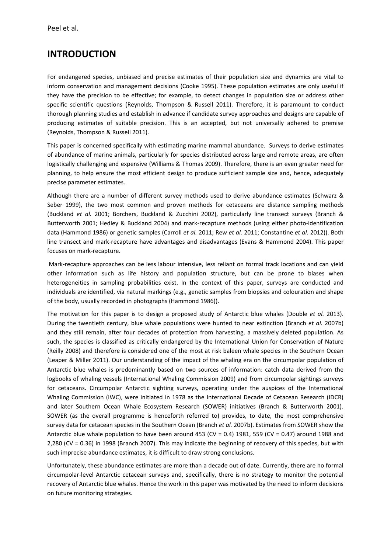## **INTRODUCTION**

For endangered species, unbiased and precise estimates of their population size and dynamics are vital to inform conservation and management decisions (Cooke 1995). These population estimates are only useful if they have the precision to be effective; for example, to detect changes in population size or address other specific scientific questions (Reynolds, Thompson & Russell 2011). Therefore, it is paramount to conduct thorough planning studies and establish in advance if candidate survey approaches and designs are capable of producing estimates of suitable precision. This is an accepted, but not universally adhered to premise (Reynolds, Thompson & Russell 2011).

This paper is concerned specifically with estimating marine mammal abundance. Surveys to derive estimates of abundance of marine animals, particularly for species distributed across large and remote areas, are often logistically challenging and expensive (Williams & Thomas 2009). Therefore, there is an even greater need for planning, to help ensure the most efficient design to produce sufficient sample size and, hence, adequately precise parameter estimates.

Although there are a number of different survey methods used to derive abundance estimates (Schwarz & Seber 1999), the two most common and proven methods for cetaceans are distance sampling methods (Buckland *et al.* 2001; Borchers, Buckland & Zucchini 2002), particularly line transect surveys (Branch & Butterworth 2001; Hedley & Buckland 2004) and mark-recapture methods (using either photo-identification data (Hammond 1986) or genetic samples (Carroll *et al.* 2011; Rew *et al.* 2011; Constantine *et al.* 2012)). Both line transect and mark-recapture have advantages and disadvantages (Evans & Hammond 2004). This paper focuses on mark-recapture.

Mark-recapture approaches can be less labour intensive, less reliant on formal track locations and can yield other information such as life history and population structure, but can be prone to biases when heterogeneities in sampling probabilities exist. In the context of this paper, surveys are conducted and individuals are identified, via natural markings (e.g., genetic samples from biopsies and colouration and shape of the body, usually recorded in photographs (Hammond 1986)).

The motivation for this paper is to design a proposed study of Antarctic blue whales (Double *et al.* 2013). During the twentieth century, blue whale populations were hunted to near extinction (Branch *et al.* 2007b) and they still remain, after four decades of protection from harvesting, a massively deleted population. As such, the species is classified as critically endangered by the International Union for Conservation of Nature (Reilly 2008) and therefore is considered one of the most at risk baleen whale species in the Southern Ocean (Leaper & Miller 2011). Our understanding of the impact of the whaling era on the circumpolar population of Antarctic blue whales is predominantly based on two sources of information: catch data derived from the logbooks of whaling vessels (International Whaling Commission 2009) and from circumpolar sightings surveys for cetaceans. Circumpolar Antarctic sighting surveys, operating under the auspices of the International Whaling Commission (IWC), were initiated in 1978 as the International Decade of Cetacean Research (IDCR) and later Southern Ocean Whale Ecosystem Research (SOWER) initiatives (Branch & Butterworth 2001). SOWER (as the overall programme is henceforth referred to) provides, to date, the most comprehensive survey data for cetacean species in the Southern Ocean (Branch *et al.* 2007b). Estimates from SOWER show the Antarctic blue whale population to have been around 453 (CV = 0.4) 1981, 559 (CV = 0.47) around 1988 and 2,280 (CV = 0.36) in 1998 (Branch 2007). This may indicate the beginning of recovery of this species, but with such imprecise abundance estimates, it is difficult to draw strong conclusions.

Unfortunately, these abundance estimates are more than a decade out of date. Currently, there are no formal circumpolar-level Antarctic cetacean surveys and, specifically, there is no strategy to monitor the potential recovery of Antarctic blue whales. Hence the work in this paper was motivated by the need to inform decisions on future monitoring strategies.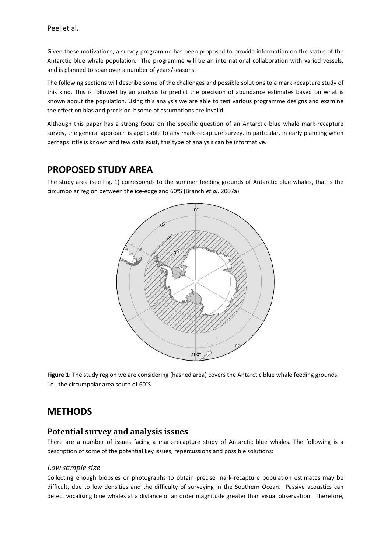Given these motivations, a survey programme has been proposed to provide information on the status of the Antarctic blue whale population. The programme will be an international collaboration with varied vessels, and is planned to span over a number of years/seasons.

The following sections will describe some of the challenges and possible solutions to a mark-recapture study of this kind. This is followed by an analysis to predict the precision of abundance estimates based on what is known about the population. Using this analysis we are able to test various programme designs and examine the effect on bias and precision if some of assumptions are invalid.

Although this paper has a strong focus on the specific question of an Antarctic blue whale mark-recapture survey, the general approach is applicable to any mark-recapture survey. In particular, in early planning when perhaps little is known and few data exist, this type of analysis can be informative.

## **PROPOSED STUDY AREA**

The study area (see Fig. 1) corresponds to the summer feeding grounds of Antarctic blue whales, that is the circumpolar region between the ice-edge and 60°S (Branch et al. 2007a).



**Figure 1**: The study region we are considering (hashed area) covers the Antarctic blue whale feeding grounds i.e., the circumpolar area south of 60°S.

## **METHODS**

### **Potential survey and analysis issues**

There are a number of issues facing a mark-recapture study of Antarctic blue whales. The following is a description of some of the potential key issues, repercussions and possible solutions:

### *Low sample size*

Collecting enough biopsies or photographs to obtain precise mark-recapture population estimates may be difficult, due to low densities and the difficulty of surveying in the Southern Ocean. Passive acoustics can detect vocalising blue whales at a distance of an order magnitude greater than visual observation. Therefore,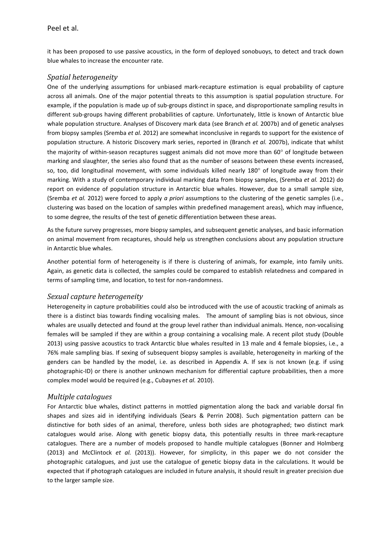it has been proposed to use passive acoustics, in the form of deployed sonobuoys, to detect and track down blue whales to increase the encounter rate.

### *Spatial heterogeneity*

One of the underlying assumptions for unbiased mark-recapture estimation is equal probability of capture across all animals. One of the major potential threats to this assumption is spatial population structure. For example, if the population is made up of sub-groups distinct in space, and disproportionate sampling results in different sub-groups having different probabilities of capture. Unfortunately, little is known of Antarctic blue whale population structure. Analyses of Discovery mark data (see Branch *et al.* 2007b) and of genetic analyses from biopsy samples (Sremba *et al.* 2012) are somewhat inconclusive in regards to support for the existence of population structure. A historic Discovery mark series, reported in (Branch *et al.* 2007b), indicate that whilst the majority of within-season recaptures suggest animals did not move more than 60° of longitude between marking and slaughter, the series also found that as the number of seasons between these events increased, so, too, did longitudinal movement, with some individuals killed nearly 180° of longitude away from their marking. With a study of contemporary individual marking data from biopsy samples, (Sremba *et al.* 2012) do report on evidence of population structure in Antarctic blue whales. However, due to a small sample size, (Sremba *et al.* 2012) were forced to apply *a priori* assumptions to the clustering of the genetic samples (i.e., clustering was based on the location of samples within predefined management areas), which may influence, to some degree, the results of the test of genetic differentiation between these areas.

As the future survey progresses, more biopsy samples, and subsequent genetic analyses, and basic information on animal movement from recaptures, should help us strengthen conclusions about any population structure in Antarctic blue whales.

Another potential form of heterogeneity is if there is clustering of animals, for example, into family units. Again, as genetic data is collected, the samples could be compared to establish relatedness and compared in terms of sampling time, and location, to test for non-randomness.

### *Sexual capture heterogeneity*

Heterogeneity in capture probabilities could also be introduced with the use of acoustic tracking of animals as there is a distinct bias towards finding vocalising males. The amount of sampling bias is not obvious, since whales are usually detected and found at the group level rather than individual animals. Hence, non-vocalising females will be sampled if they are within a group containing a vocalising male. A recent pilot study (Double 2013) using passive acoustics to track Antarctic blue whales resulted in 13 male and 4 female biopsies, i.e., a 76% male sampling bias. If sexing of subsequent biopsy samples is available, heterogeneity in marking of the genders can be handled by the model, i.e. as described in Appendix A. If sex is not known (e.g. if using photographic-ID) or there is another unknown mechanism for differential capture probabilities, then a more complex model would be required (e.g., Cubaynes *et al.* 2010).

### *Multiple catalogues*

For Antarctic blue whales, distinct patterns in mottled pigmentation along the back and variable dorsal fin shapes and sizes aid in identifying individuals (Sears & Perrin 2008). Such pigmentation pattern can be distinctive for both sides of an animal, therefore, unless both sides are photographed; two distinct mark catalogues would arise. Along with genetic biopsy data, this potentially results in three mark-recapture catalogues. There are a number of models proposed to handle multiple catalogues (Bonner and Holmberg (2013) and McClintock *et al.* (2013)). However, for simplicity, in this paper we do not consider the photographic catalogues, and just use the catalogue of genetic biopsy data in the calculations. It would be expected that if photograph catalogues are included in future analysis, it should result in greater precision due to the larger sample size.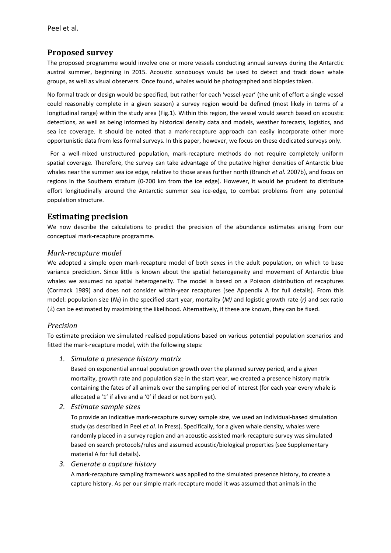## **Proposed survey**

The proposed programme would involve one or more vessels conducting annual surveys during the Antarctic austral summer, beginning in 2015. Acoustic sonobuoys would be used to detect and track down whale groups, as well as visual observers. Once found, whales would be photographed and biopsies taken.

No formal track or design would be specified, but rather for each 'vessel-year' (the unit of effort a single vessel could reasonably complete in a given season) a survey region would be defined (most likely in terms of a longitudinal range) within the study area (Fig.1). Within this region, the vessel would search based on acoustic detections, as well as being informed by historical density data and models, weather forecasts, logistics, and sea ice coverage. It should be noted that a mark-recapture approach can easily incorporate other more opportunistic data from less formal surveys. In this paper, however, we focus on these dedicated surveys only.

 For a well-mixed unstructured population, mark-recapture methods do not require completely uniform spatial coverage. Therefore, the survey can take advantage of the putative higher densities of Antarctic blue whales near the summer sea ice edge, relative to those areas further north (Branch *et al.* 2007b), and focus on regions in the Southern stratum (0-200 km from the ice edge). However, it would be prudent to distribute effort longitudinally around the Antarctic summer sea ice-edge, to combat problems from any potential population structure.

### **Estimating precision**

We now describe the calculations to predict the precision of the abundance estimates arising from our conceptual mark-recapture programme.

### *Mark-recapture model*

We adopted a simple open mark-recapture model of both sexes in the adult population, on which to base variance prediction. Since little is known about the spatial heterogeneity and movement of Antarctic blue whales we assumed no spatial heterogeneity. The model is based on a Poisson distribution of recaptures (Cormack 1989) and does not consider within-year recaptures (see Appendix A for full details). From this model: population size (*N0*) in the specified start year, mortality (*M)* and logistic growth rate (*r)* and sex ratio (λ) can be estimated by maximizing the likelihood. Alternatively, if these are known, they can be fixed.

#### *Precision*

To estimate precision we simulated realised populations based on various potential population scenarios and fitted the mark-recapture model, with the following steps:

#### *1. Simulate a presence history matrix*

Based on exponential annual population growth over the planned survey period, and a given mortality, growth rate and population size in the start year, we created a presence history matrix containing the fates of all animals over the sampling period of interest (for each year every whale is allocated a '1' if alive and a '0' if dead or not born yet).

*2. Estimate sample sizes*

To provide an indicative mark-recapture survey sample size, we used an individual-based simulation study (as described in Peel *et al.* In Press). Specifically, for a given whale density, whales were randomly placed in a survey region and an acoustic-assisted mark-recapture survey was simulated based on search protocols/rules and assumed acoustic/biological properties (see Supplementary material A for full details).

### *3. Generate a capture history*

A mark-recapture sampling framework was applied to the simulated presence history, to create a capture history. As per our simple mark-recapture model it was assumed that animals in the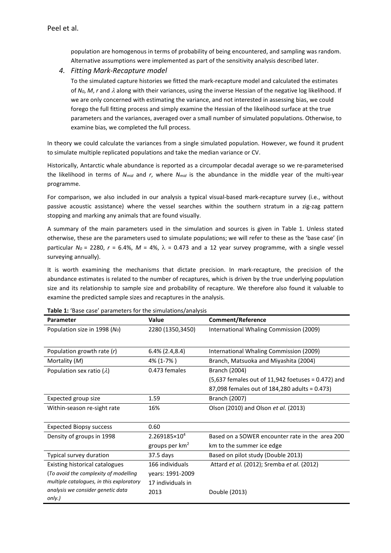population are homogenous in terms of probability of being encountered, and sampling was random. Alternative assumptions were implemented as part of the sensitivity analysis described later.

#### *4. Fitting Mark-Recapture model*

To the simulated capture histories we fitted the mark-recapture model and calculated the estimates of *N0*, *M*, *r* and λ along with their variances, using the inverse Hessian of the negative log likelihood. If we are only concerned with estimating the variance, and not interested in assessing bias, we could forego the full fitting process and simply examine the Hessian of the likelihood surface at the true parameters and the variances, averaged over a small number of simulated populations. Otherwise, to examine bias, we completed the full process.

In theory we could calculate the variances from a single simulated population. However, we found it prudent to simulate multiple replicated populations and take the median variance or CV.

Historically, Antarctic whale abundance is reported as a circumpolar decadal average so we re-parameterised the likelihood in terms of *Nmid* and *r*, where *Nmid* is the abundance in the middle year of the multi-year programme.

For comparison, we also included in our analysis a typical visual-based mark-recapture survey (i.e., without passive acoustic assistance) where the vessel searches within the southern stratum in a zig-zag pattern stopping and marking any animals that are found visually.

A summary of the main parameters used in the simulation and sources is given in Table 1. Unless stated otherwise, these are the parameters used to simulate populations; we will refer to these as the 'base case' (in particular  $N_0$  = 2280,  $r$  = 6.4%,  $M$  = 4%,  $\lambda$  = 0.473 and a 12 year survey programme, with a single vessel surveying annually).

It is worth examining the mechanisms that dictate precision. In mark-recapture, the precision of the abundance estimates is related to the number of recaptures, which is driven by the true underlying population size and its relationship to sample size and probability of recapture. We therefore also found it valuable to examine the predicted sample sizes and recaptures in the analysis.

| <b>Table 1.</b> Base case parameters for the simulations/analysis<br><b>Parameter</b> | Value                      | <b>Comment/Reference</b>                             |
|---------------------------------------------------------------------------------------|----------------------------|------------------------------------------------------|
| Population size in 1998 (No)                                                          | 2280 (1350,3450)           | International Whaling Commission (2009)              |
|                                                                                       |                            |                                                      |
| Population growth rate $(r)$                                                          | $6.4\%$ (2.4,8.4)          | International Whaling Commission (2009)              |
| Mortality (M)                                                                         | 4% (1-7%)                  | Branch, Matsuoka and Miyashita (2004)                |
| Population sex ratio $(\lambda)$                                                      | 0.473 females              | <b>Branch (2004)</b>                                 |
|                                                                                       |                            | $(5,637$ females out of 11,942 foetuses = 0.472) and |
|                                                                                       |                            | 87,098 females out of 184,280 adults = 0.473)        |
| Expected group size                                                                   | 1.59                       | Branch (2007)                                        |
| Within-season re-sight rate                                                           | 16%                        | Olson (2010) and Olson et al. (2013)                 |
|                                                                                       |                            |                                                      |
| <b>Expected Biopsy success</b>                                                        | 0.60                       |                                                      |
| Density of groups in 1998                                                             | 2.269185×10 <sup>4</sup>   | Based on a SOWER encounter rate in the area 200      |
|                                                                                       | groups per km <sup>2</sup> | km to the summer ice edge                            |
| Typical survey duration                                                               | 37.5 days                  | Based on pilot study (Double 2013)                   |
| Existing historical catalogues                                                        | 166 individuals            | Attard et al. (2012); Sremba et al. (2012)           |
| (To avoid the complexity of modelling                                                 | years: 1991-2009           |                                                      |
| multiple catalogues, in this exploratory                                              | 17 individuals in          |                                                      |
| analysis we consider genetic data                                                     | 2013                       | Double (2013)                                        |
| only.)                                                                                |                            |                                                      |

**Table 1:** 'Base case' parameters for the simulations/analysis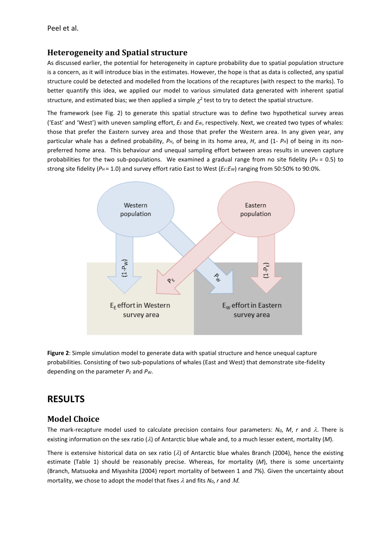### **Heterogeneity and Spatial structure**

As discussed earlier, the potential for heterogeneity in capture probability due to spatial population structure is a concern, as it will introduce bias in the estimates. However, the hope is that as data is collected, any spatial structure could be detected and modelled from the locations of the recaptures (with respect to the marks). To better quantify this idea, we applied our model to various simulated data generated with inherent spatial structure, and estimated bias; we then applied a simple  $\chi^2$  test to try to detect the spatial structure.

The framework (see Fig. 2) to generate this spatial structure was to define two hypothetical survey areas ('East' and 'West') with uneven sampling effort, *EE* and *EW*, respectively. Next, we created two types of whales: those that prefer the Eastern survey area and those that prefer the Western area. In any given year, any particular whale has a defined probability,  $P_H$ , of being in its home area, *H*, and (1-  $P_H$ ) of being in its nonpreferred home area. This behaviour and unequal sampling effort between areas results in uneven capture probabilities for the two sub-populations. We examined a gradual range from no site fidelity ( $P_H = 0.5$ ) to strong site fidelity ( $P_H$  = 1.0) and survey effort ratio East to West ( $E_E:E_W$ ) ranging from 50:50% to 90:0%.



**Figure 2**: Simple simulation model to generate data with spatial structure and hence unequal capture probabilities. Consisting of two sub-populations of whales (East and West) that demonstrate site-fidelity depending on the parameter *PE* and *PW*.

## **RESULTS**

## **Model Choice**

The mark-recapture model used to calculate precision contains four parameters:  $N_0$ ,  $M$ ,  $r$  and  $\lambda$ . There is existing information on the sex ratio (λ) of Antarctic blue whale and, to a much lesser extent, mortality (*M*).

There is extensive historical data on sex ratio  $(\lambda)$  of Antarctic blue whales Branch (2004), hence the existing estimate (Table 1) should be reasonably precise. Whereas, for mortality (*M*), there is some uncertainty (Branch, Matsuoka and Miyashita (2004) report mortality of between 1 and 7%). Given the uncertainty about mortality, we chose to adopt the model that fixes  $\lambda$  and fits  $N_0$ , *r* and M.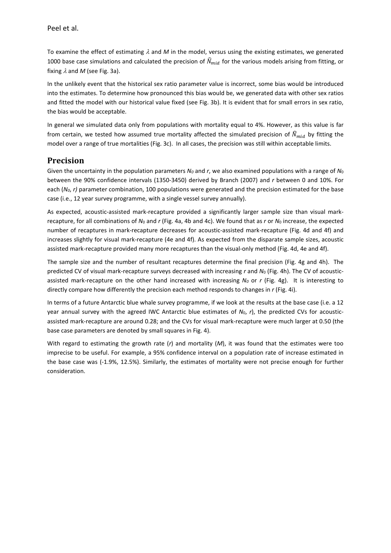To examine the effect of estimating λ and *M* in the model, versus using the existing estimates, we generated 1000 base case simulations and calculated the precision of  $\widehat{N}_{mid}$  for the various models arising from fitting, or fixing  $\lambda$  and M (see Fig. 3a).

In the unlikely event that the historical sex ratio parameter value is incorrect, some bias would be introduced into the estimates. To determine how pronounced this bias would be, we generated data with other sex ratios and fitted the model with our historical value fixed (see Fig. 3b). It is evident that for small errors in sex ratio, the bias would be acceptable.

In general we simulated data only from populations with mortality equal to 4%. However, as this value is far from certain, we tested how assumed true mortality affected the simulated precision of  $\hat{N}_{mid}$  by fitting the model over a range of true mortalities (Fig. 3c). In all cases, the precision was still within acceptable limits.

### **Precision**

Given the uncertainty in the population parameters  $N_0$  and r, we also examined populations with a range of  $N_0$ between the 90% confidence intervals (1350-3450) derived by Branch (2007) and *r* between 0 and 10%. For each (*N0*, *r)* parameter combination, 100 populations were generated and the precision estimated for the base case (i.e., 12 year survey programme, with a single vessel survey annually).

As expected, acoustic-assisted mark-recapture provided a significantly larger sample size than visual markrecapture, for all combinations of *N*<sup>0</sup> and *r* (Fig. 4a, 4b and 4c). We found that as *r* or *N*<sup>0</sup> increase, the expected number of recaptures in mark-recapture decreases for acoustic-assisted mark-recapture (Fig. 4d and 4f) and increases slightly for visual mark-recapture (4e and 4f). As expected from the disparate sample sizes, acoustic assisted mark-recapture provided many more recaptures than the visual-only method (Fig. 4d, 4e and 4f).

The sample size and the number of resultant recaptures determine the final precision (Fig. 4g and 4h). The predicted CV of visual mark-recapture surveys decreased with increasing *r* and *N*<sup>0</sup> (Fig. 4h). The CV of acousticassisted mark-recapture on the other hand increased with increasing  $N_0$  or  $r$  (Fig. 4g). It is interesting to directly compare how differently the precision each method responds to changes in *r* (Fig. 4i).

In terms of a future Antarctic blue whale survey programme, if we look at the results at the base case (i.e. a 12 year annual survey with the agreed IWC Antarctic blue estimates of *N*0, *r*), the predicted CVs for acousticassisted mark-recapture are around 0.28; and the CVs for visual mark-recapture were much larger at 0.50 (the base case parameters are denoted by small squares in Fig. 4).

With regard to estimating the growth rate (*r*) and mortality (*M*), it was found that the estimates were too imprecise to be useful. For example, a 95% confidence interval on a population rate of increase estimated in the base case was (-1.9%, 12.5%). Similarly, the estimates of mortality were not precise enough for further consideration.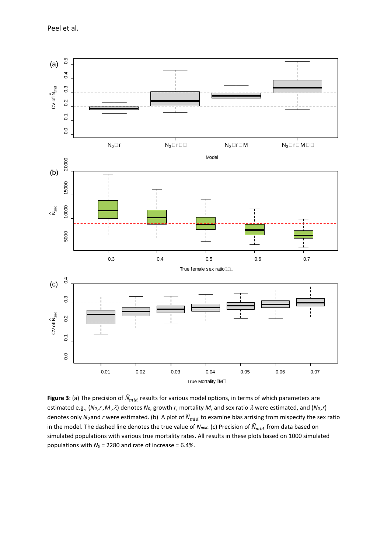Peel et al.



**Figure 3**: (a) The precision of  $\widehat{N}_{mid}$  results for various model options, in terms of which parameters are estimated e.g.,  $(N_0, r, M, \lambda)$  denotes  $N_0$ , growth *r*, mortality *M*, and sex ratio  $\lambda$  were estimated, and  $(N_0, r)$ denotes only  $N_0$  and *r* were estimated. (b) A plot of  $\hat{N}_{mid}$  to examine bias arrising from mispecify the sex ratio in the model. The dashed line denotes the true value of  $N_{mid}$ . (c) Precision of  $\widehat{N}_{mid}$  from data based on simulated populations with various true mortality rates. All results in these plots based on 1000 simulated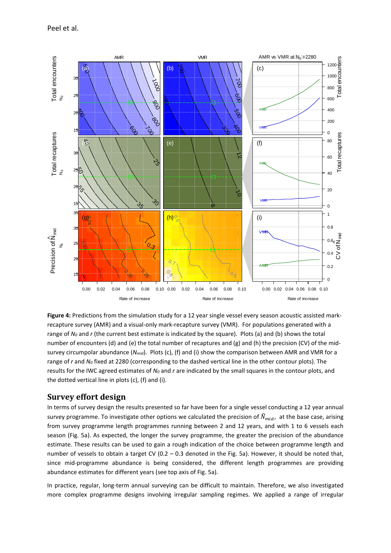Peel et al.



**Figure 4:** Predictions from the simulation study for a 12 year single vessel every season acoustic assisted markrecapture survey (AMR) and a visual-only mark-recapture survey (VMR). For populations generated with a range of *N<sub>0</sub>* and *r* (the current best estimate is indicated by the square). Plots (a) and (b) shows the total number of encounters (d) and (e) the total number of recaptures and (g) and (h) the precision (CV) of the midsurvey circumpolar abundance (*Nmid*). Plots (c), (f) and (i) show the comparison between AMR and VMR for a range of *r* and *N0* fixed at 2280 (corresponding to the dashed vertical line in the other contour plots). The results for the IWC agreed estimates of *N0* and *r* are indicated by the small squares in the contour plots, and the dotted vertical line in plots (c), (f) and (i).

### **Survey effort design**

In terms of survey design the results presented so far have been for a single vessel conducting a 12 year annual survey programme. To investigate other options we calculated the precision of  $\widehat{N}_{mid}$ , at the base case, arising from survey programme length programmes running between 2 and 12 years, and with 1 to 6 vessels each season (Fig. 5a). As expected, the longer the survey programme, the greater the precision of the abundance estimate. These results can be used to gain a rough indication of the choice between programme length and number of vessels to obtain a target CV ( $0.2 - 0.3$  denoted in the Fig. 5a). However, it should be noted that, since mid-programme abundance is being considered, the different length programmes are providing abundance estimates for different years (see top axis of Fig. 5a).

In practice, regular, long-term annual surveying can be difficult to maintain. Therefore, we also investigated more complex programme designs involving irregular sampling regimes. We applied a range of irregular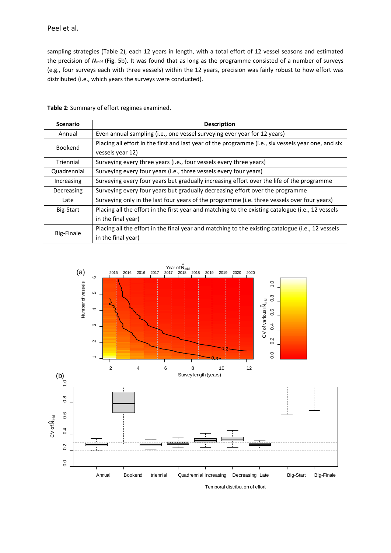sampling strategies (Table 2), each 12 years in length, with a total effort of 12 vessel seasons and estimated the precision of *Nmid* (Fig. 5b). It was found that as long as the programme consisted of a number of surveys (e.g., four surveys each with three vessels) within the 12 years, precision was fairly robust to how effort was distributed (i.e., which years the surveys were conducted).

| <b>Scenario</b> | <b>Description</b>                                                                                  |
|-----------------|-----------------------------------------------------------------------------------------------------|
| Annual          | Even annual sampling (i.e., one vessel surveying ever year for 12 years)                            |
| Bookend         | Placing all effort in the first and last year of the programme (i.e., six vessels year one, and six |
|                 | vessels year 12)                                                                                    |
| Triennial       | Surveying every three years (i.e., four vessels every three years)                                  |
| Quadrennial     | Surveying every four years (i.e., three vessels every four years)                                   |
| Increasing      | Surveying every four years but gradually increasing effort over the life of the programme           |
| Decreasing      | Surveying every four years but gradually decreasing effort over the programme                       |
| Late            | Surveying only in the last four years of the programme (i.e. three vessels over four years)         |
| Big-Start       | Placing all the effort in the first year and matching to the existing catalogue (i.e., 12 vessels   |
|                 | in the final year)                                                                                  |
| Big-Finale      | Placing all the effort in the final year and matching to the existing catalogue (i.e., 12 vessels   |
|                 | in the final year)                                                                                  |

**Table 2**: Summary of effort regimes examined.

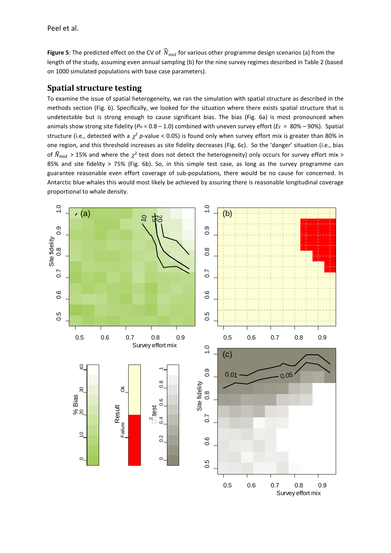**Figure 5**: The predicted effect on the CV of  $\widehat{N}_{mid}$  for various other programme design scenarios (a) from the length of the study, assuming even annual sampling (b) for the nine survey regimes described in Table 2 (based on 1000 simulated populations with base case parameters).

### **Spatial structure testing**

To examine the issue of spatial heterogeneity, we ran the simulation with spatial structure as described in the methods section (Fig. 6). Specifically, we looked for the situation where there exists spatial structure that is undetectable but is strong enough to cause significant bias. The bias (Fig. 6a) is most pronounced when animals show strong site fidelity ( $P_H$  = 0.8 – 1.0) combined with uneven survey effort ( $E_E$  = 80% – 90%). Spatial structure (i.e., detected with a  $\chi^2$  *p*-value < 0.05) is found only when survey effort mix is greater than 80% in one region, and this threshold increases as site fidelity decreases (Fig. 6c). So the 'danger' situation (i.e., bias of  $\hat{N}_{mid} > 15\%$  and where the  $\gamma^2$  test does not detect the heterogeneity) only occurs for survey effort mix > 85% and site fidelity > 75% (Fig. 6b). So, in this simple test case, as long as the survey programme can guarantee reasonable even effort coverage of sub-populations, there would be no cause for concerned. In Antarctic blue whales this would most likely be achieved by assuring there is reasonable longitudinal coverage proportional to whale density.

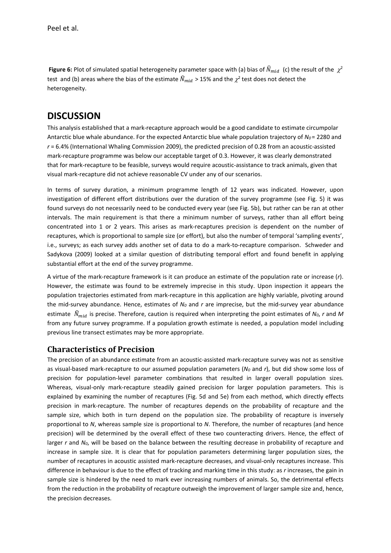**Figure 6:** Plot of simulated spatial heterogeneity parameter space with (a) bias of  $\hat{N}_{mid}$  (c) the result of the  $\chi^2$ test and (b) areas where the bias of the estimate  $\widehat{N}_{mid} > 15\%$  and the  $\chi^2$  test does not detect the heterogeneity.

## **DISCUSSION**

This analysis established that a mark-recapture approach would be a good candidate to estimate circumpolar Antarctic blue whale abundance. For the expected Antarctic blue whale population trajectory of *N<sub>0</sub>* = 2280 and *r* = 6.4% (International Whaling Commission 2009), the predicted precision of 0.28 from an acoustic-assisted mark-recapture programme was below our acceptable target of 0.3. However, it was clearly demonstrated that for mark-recapture to be feasible, surveys would require acoustic-assistance to track animals, given that visual mark-recapture did not achieve reasonable CV under any of our scenarios.

In terms of survey duration, a minimum programme length of 12 years was indicated. However, upon investigation of different effort distributions over the duration of the survey programme (see Fig. 5) it was found surveys do not necessarily need to be conducted every year (see Fig. 5b), but rather can be ran at other intervals. The main requirement is that there a minimum number of surveys, rather than all effort being concentrated into 1 or 2 years. This arises as mark-recaptures precision is dependent on the number of recaptures, which is proportional to sample size (or effort), but also the number of temporal 'sampling events', i.e., surveys; as each survey adds another set of data to do a mark-to-recapture comparison. Schweder and Sadykova (2009) looked at a similar question of distributing temporal effort and found benefit in applying substantial effort at the end of the survey programme.

A virtue of the mark-recapture framework is it can produce an estimate of the population rate or increase (*r*). However, the estimate was found to be extremely imprecise in this study. Upon inspection it appears the population trajectories estimated from mark-recapture in this application are highly variable, pivoting around the mid-survey abundance. Hence, estimates of *N0* and *r* are imprecise, but the mid-survey year abundance estimate  $\hat{N}_{mid}$  is precise. Therefore, caution is required when interpreting the point estimates of  $N_0$ , *r* and M from any future survey programme. If a population growth estimate is needed, a population model including previous line transect estimates may be more appropriate.

### **Characteristics of Precision**

The precision of an abundance estimate from an acoustic-assisted mark-recapture survey was not as sensitive as visual-based mark-recapture to our assumed population parameters (*N0* and *r*), but did show some loss of precision for population-level parameter combinations that resulted in larger overall population sizes. Whereas, visual-only mark-recapture steadily gained precision for larger population parameters. This is explained by examining the number of recaptures (Fig. 5d and 5e) from each method, which directly effects precision in mark-recapture. The number of recaptures depends on the probability of recapture and the sample size, which both in turn depend on the population size. The probability of recapture is inversely proportional to *N*, whereas sample size is proportional to *N*. Therefore, the number of recaptures (and hence precision) will be determined by the overall effect of these two counteracting drivers. Hence, the effect of larger *r* and *N<sub>0</sub>*, will be based on the balance between the resulting decrease in probability of recapture and increase in sample size. It is clear that for population parameters determining larger population sizes, the number of recaptures in acoustic assisted mark-recapture decreases, and visual-only recaptures increase. This difference in behaviour is due to the effect of tracking and marking time in this study: as *r* increases, the gain in sample size is hindered by the need to mark ever increasing numbers of animals. So, the detrimental effects from the reduction in the probability of recapture outweigh the improvement of larger sample size and, hence, the precision decreases.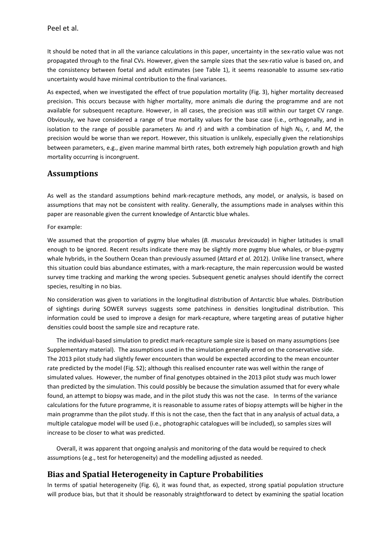It should be noted that in all the variance calculations in this paper, uncertainty in the sex-ratio value was not propagated through to the final CVs. However, given the sample sizes that the sex-ratio value is based on, and the consistency between foetal and adult estimates (see Table 1), it seems reasonable to assume sex-ratio uncertainty would have minimal contribution to the final variances.

As expected, when we investigated the effect of true population mortality (Fig. 3), higher mortality decreased precision. This occurs because with higher mortality, more animals die during the programme and are not available for subsequent recapture. However, in all cases, the precision was still within our target CV range. Obviously, we have considered a range of true mortality values for the base case (i.e., orthogonally, and in isolation to the range of possible parameters  $N_0$  and  $r$ ) and with a combination of high  $N_0$ ,  $r$ , and  $M$ , the precision would be worse than we report. However, this situation is unlikely, especially given the relationships between parameters, e.g., given marine mammal birth rates, both extremely high population growth and high mortality occurring is incongruent.

### **Assumptions**

As well as the standard assumptions behind mark-recapture methods, any model, or analysis, is based on assumptions that may not be consistent with reality. Generally, the assumptions made in analyses within this paper are reasonable given the current knowledge of Antarctic blue whales.

For example:

We assumed that the proportion of pygmy blue whales (*B. musculus brevicauda*) in higher latitudes is small enough to be ignored. Recent results indicate there may be slightly more pygmy blue whales, or blue-pygmy whale hybrids, in the Southern Ocean than previously assumed (Attard *et al.* 2012). Unlike line transect, where this situation could bias abundance estimates, with a mark-recapture, the main repercussion would be wasted survey time tracking and marking the wrong species. Subsequent genetic analyses should identify the correct species, resulting in no bias.

No consideration was given to variations in the longitudinal distribution of Antarctic blue whales. Distribution of sightings during SOWER surveys suggests some patchiness in densities longitudinal distribution. This information could be used to improve a design for mark-recapture, where targeting areas of putative higher densities could boost the sample size and recapture rate.

The individual-based simulation to predict mark-recapture sample size is based on many assumptions (see Supplementary material). The assumptions used in the simulation generally erred on the conservative side. The 2013 pilot study had slightly fewer encounters than would be expected according to the mean encounter rate predicted by the model (Fig. S2); although this realised encounter rate was well within the range of simulated values. However, the number of final genotypes obtained in the 2013 pilot study was much lower than predicted by the simulation. This could possibly be because the simulation assumed that for every whale found, an attempt to biopsy was made, and in the pilot study this was not the case. In terms of the variance calculations for the future programme, it is reasonable to assume rates of biopsy attempts will be higher in the main programme than the pilot study. If this is not the case, then the fact that in any analysis of actual data, a multiple catalogue model will be used (i.e., photographic catalogues will be included), so samples sizes will increase to be closer to what was predicted.

Overall, it was apparent that ongoing analysis and monitoring of the data would be required to check assumptions (e.g., test for heterogeneity) and the modelling adjusted as needed.

## **Bias and Spatial Heterogeneity in Capture Probabilities**

In terms of spatial heterogeneity (Fig. 6), it was found that, as expected, strong spatial population structure will produce bias, but that it should be reasonably straightforward to detect by examining the spatial location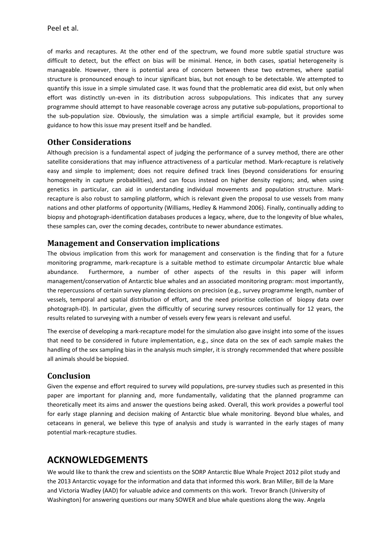of marks and recaptures. At the other end of the spectrum, we found more subtle spatial structure was difficult to detect, but the effect on bias will be minimal. Hence, in both cases, spatial heterogeneity is manageable. However, there is potential area of concern between these two extremes, where spatial structure is pronounced enough to incur significant bias, but not enough to be detectable. We attempted to quantify this issue in a simple simulated case. It was found that the problematic area did exist, but only when effort was distinctly un-even in its distribution across subpopulations. This indicates that any survey programme should attempt to have reasonable coverage across any putative sub-populations, proportional to the sub-population size. Obviously, the simulation was a simple artificial example, but it provides some guidance to how this issue may present itself and be handled.

## **Other Considerations**

Although precision is a fundamental aspect of judging the performance of a survey method, there are other satellite considerations that may influence attractiveness of a particular method. Mark-recapture is relatively easy and simple to implement; does not require defined track lines (beyond considerations for ensuring homogeneity in capture probabilities), and can focus instead on higher density regions; and, when using genetics in particular, can aid in understanding individual movements and population structure. Markrecapture is also robust to sampling platform, which is relevant given the proposal to use vessels from many nations and other platforms of opportunity (Williams, Hedley & Hammond 2006). Finally, continually adding to biopsy and photograph-identification databases produces a legacy, where, due to the longevity of blue whales, these samples can, over the coming decades, contribute to newer abundance estimates.

### **Management and Conservation implications**

The obvious implication from this work for management and conservation is the finding that for a future monitoring programme, mark-recapture is a suitable method to estimate circumpolar Antarctic blue whale abundance. Furthermore, a number of other aspects of the results in this paper will inform management/conservation of Antarctic blue whales and an associated monitoring program: most importantly, the repercussions of certain survey planning decisions on precision (e.g., survey programme length, number of vessels, temporal and spatial distribution of effort, and the need prioritise collection of biopsy data over photograph-ID). In particular, given the difficultly of securing survey resources continually for 12 years, the results related to surveying with a number of vessels every few years is relevant and useful.

The exercise of developing a mark-recapture model for the simulation also gave insight into some of the issues that need to be considered in future implementation, e.g., since data on the sex of each sample makes the handling of the sex sampling bias in the analysis much simpler, it is strongly recommended that where possible all animals should be biopsied.

## **Conclusion**

Given the expense and effort required to survey wild populations, pre-survey studies such as presented in this paper are important for planning and, more fundamentally, validating that the planned programme can theoretically meet its aims and answer the questions being asked. Overall, this work provides a powerful tool for early stage planning and decision making of Antarctic blue whale monitoring. Beyond blue whales, and cetaceans in general, we believe this type of analysis and study is warranted in the early stages of many potential mark-recapture studies.

## **ACKNOWLEDGEMENTS**

We would like to thank the crew and scientists on the SORP Antarctic Blue Whale Project 2012 pilot study and the 2013 Antarctic voyage for the information and data that informed this work. Bran Miller, Bill de la Mare and Victoria Wadley (AAD) for valuable advice and comments on this work. Trevor Branch (University of Washington) for answering questions our many SOWER and blue whale questions along the way. Angela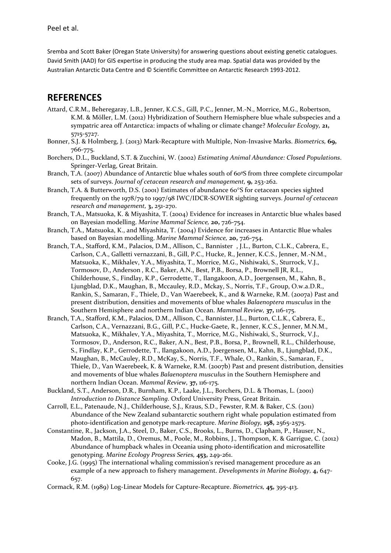Sremba and Scott Baker (Oregan State University) for answering questions about existing genetic catalogues. David Smith (AAD) for GIS expertise in producing the study area map. Spatial data was provided by the Australian Antarctic Data Centre and © Scientific Committee on Antarctic Research 1993-2012.

## **REFERENCES**

- Attard, C.R.M., Beheregaray, L.B., Jenner, K.C.S., Gill, P.C., Jenner, M.-N., Morrice, M.G., Robertson, K.M. & Möller, L.M. (2012) Hybridization of Southern Hemisphere blue whale subspecies and a sympatric area off Antarctica: impacts of whaling or climate change? *Molecular Ecology,* **21,** 5715-5727.
- Bonner, S.J. & Holmberg, J. (2013) Mark-Recapture with Multiple, Non-Invasive Marks. *Biometrics,* **69,** 766-775.
- Borchers, D.L., Buckland, S.T. & Zucchini, W. (2002) *Estimating Animal Abundance: Closed Populations*. Springer-Verlag, Great Britain.
- Branch, T.A. (2007) Abundance of Antarctic blue whales south of 60°S from three complete circumpolar sets of surveys. *Journal of cetacean research and management,* **9,** 253-262.
- Branch, T.A. & Butterworth, D.S. (2001) Estimates of abundance 60°S for cetacean species sighted frequently on the 1978/79 to 1997/98 IWC/IDCR-SOWER sighting surveys. *Journal of cetacean research and management,* **3,** 251-270.
- Branch, T.A., Matsuoka, K. & Miyashita, T. (2004) Evidence for increases in Antarctic blue whales based on Bayesian modelling. *Marine Mammal Science,* **20,** 726-754.
- Branch, T.A., Matsuoka, K., and Miyashita, T. (2004) Evidence for increases in Antarctic Blue whales based on Bayesian modelling. *Marine Mammal Science,* **20,** 726-754.
- Branch, T.A., Stafford, K.M., Palacios, D.M., Allison, C., Bannister , J.L., Burton, C.L.K., Cabrera, E., Carlson, C.A., Galletti vernazzani, B., Gill, P.C., Hucke, R., Jenner, K.C.S., Jenner, M.-N.M., Matsuoka, K., Mikhalev, Y.A., Miyashita, T., Morrice, M.G., Nishiwaki, S., Sturrock, V.J., Tormosov, D., Anderson , R.C., Baker, A.N., Best, P.B., Borsa, P., Brownell JR, R.L., Childerhouse, S., Findlay, K.P., Gerrodette, T., Ilangakoon, A.D., Joergensen, M., Kahn, B., Ljungblad, D.K., Maughan, B., Mccauley, R.D., Mckay, S., Norris, T.F., Group, O.w.a.D.R., Rankin, S., Samaran, F., Thiele, D., Van Waerebeek, K., and & Warneke, R.M. (2007a) Past and present distribution, densities and movements of blue whales *Balaenoptera musculus* in the Southern Hemisphere and northern Indian Ocean. *Mammal Review,* **37,** 116-175.
- Branch, T.A., Stafford, K.M., Palacios, D.M., Allison, C., Bannister, J.L., Burton, C.L.K., Cabrera, E., Carlson, C.A., Vernazzani, B.G., Gill, P.C., Hucke-Gaete, R., Jenner, K.C.S., Jenner, M.N.M., Matsuoka, K., Mikhalev, Y.A., Miyashita, T., Morrice, M.G., Nishiwaki, S., Sturrock, V.J., Tormosov, D., Anderson, R.C., Baker, A.N., Best, P.B., Borsa, P., Brownell, R.L., Childerhouse, S., Findlay, K.P., Gerrodette, T., Ilangakoon, A.D., Joergensen, M., Kahn, B., Ljungblad, D.K., Maughan, B., McCauley, R.D., McKay, S., Norris, T.F., Whale, O., Rankin, S., Samaran, F., Thiele, D., Van Waerebeek, K. & Warneke, R.M. (2007b) Past and present distribution, densities and movements of blue whales *Balaenoptera musculus* in the Southern Hemisphere and northern Indian Ocean. *Mammal Review,* **37,** 116-175.
- Buckland, S.T., Anderson, D.R., Burnham, K.P., Laake, J.L., Borchers, D.L. & Thomas, L. (2001) *Introduction to Distance Sampling*. Oxford University Press, Great Britain.
- Carroll, E.L., Patenaude, N.J., Childerhouse, S.J., Kraus, S.D., Fewster, R.M. & Baker, C.S. (2011) Abundance of the New Zealand subantarctic southern right whale population estimated from photo-identification and genotype mark-recapture. *Marine Biology,* **158,** 2565-2575.
- Constantine, R., Jackson, J.A., Steel, D., Baker, C.S., Brooks, L., Burns, D., Clapham, P., Hauser, N., Madon, B., Mattila, D., Oremus, M., Poole, M., Robbins, J., Thompson, K. & Garrigue, C. (2012) Abundance of humpback whales in Oceania using photo-identification and microsatellite genotyping. *Marine Ecology Progress Series,* **453,** 249-261.
- Cooke, J.G. (1995) The international whaling commission's revised management procedure as an example of a new approach to fishery management. *Developments in Marine Biology,* **4,** 647- 657.
- Cormack, R.M. (1989) Log-Linear Models for Capture-Recapture. *Biometrics,* **45,** 395-413.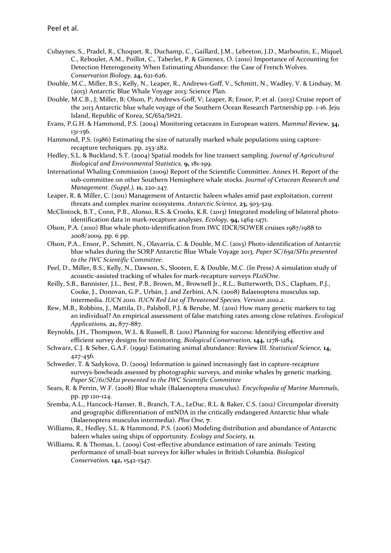- Cubaynes, S., Pradel, R., Choquet, R., Duchamp, C., Gaillard, J.M., Lebreton, J.D., Marboutin, E., Miquel, C., Reboulet, A.M., Poillot, C., Taberlet, P. & Gimenez, O. (2010) Importance of Accounting for Detection Heterogeneity When Estimating Abundance: the Case of French Wolves. *Conservation Biology,* **24,** 621-626.
- Double, M.C., Miller, B.S., Kelly, N., Leaper, R., Andrews-Goff, V., Schmitt, N., Wadley, V. & Lindsay, M. (2013) Antarctic Blue Whale Voyage 2013: Science Plan.
- Double, M.C.B., J; Miller, B; Olson, P; Andrews-Goff, V; Leaper, R; Ensor, P; et al. (2013) Cruise report of the 2013 Antarctic blue whale voyage of the Southern Ocean Research Partnership pp. 1-16. Jeju Island, Republic of Korea, SC/65a/SH21.
- Evans, P.G.H. & Hammond, P.S. (2004) Monitoring cetaceans in European waters. *Mammal Review,* **34,** 131-156.
- Hammond, P.S. (1986) Estimating the size of naturally marked whale populations using capturerecapture techniques. pp. 253-282.
- Hedley, S.L. & Buckland, S.T. (2004) Spatial models for line transect sampling. *Journal of Agricultural Biological and Environmental Statistics,* **9,** 181-199.
- International Whaling Commission (2009) Report of the Scientific Committee. Annex H. Report of the sub-committee on other Southern Hemisphere whale stocks. *Journal of Cetacean Research and Management. (Suppl.),* **11,** 220-247.
- Leaper, R. & Miller, C. (2011) Management of Antarctic baleen whales amid past exploitation, current threats and complex marine ecosystems. *Antarctic Science,* **23,** 503-529.
- McClintock, B.T., Conn, P.B., Alonso, R.S. & Crooks, K.R. (2013) Integrated modeling of bilateral photoidentification data in mark-recapture analyses. *Ecology,* **94,** 1464-1471.
- Olson, P.A. (2010) Blue whale photo-identification from IWC IDCR/SOWER cruises 1987/1988 to 2008/2009. pp. 6 pp.
- Olson, P.A., Ensor, P., Schmitt, N., Olavarria, C. & Double, M.C. (2013) Photo-identification of Antarctic blue whales during the SORP Antarctic Blue Whale Voyage 2013. *Paper SC/65a/SH11 presented to the IWC Scientific Committee*.
- Peel, D., Miller, B.S., Kelly, N., Dawson, S., Slooten, E. & Double, M.C. (In Press) A simulation study of acoustic-assisted tracking of whales for mark-recapture surveys *PLoSOne*.
- Reilly, S.B., Bannister, J.L., Best, P.B., Brown, M., Brownell Jr., R.L., Butterworth, D.S., Clapham, P.J., Cooke, J., Donovan, G.P., Urbán, J. and Zerbini, A.N. (2008) Balaenoptera musculus ssp. intermedia. *IUCN 2010. IUCN Red List of Threatened Species. Version 2010.2*.
- Rew, M.B., Robbins, J., Mattila, D., Palsboll, P.J. & Berube, M. (2011) How many genetic markers to tag an individual? An empirical assessment of false matching rates among close relatives. *Ecological Applications,* **21,** 877-887.
- Reynolds, J.H., Thompson, W.L. & Russell, B. (2011) Planning for success: Identifying effective and efficient survey designs for monitoring. *Biological Conservation,* **144,** 1278-1284.
- Schwarz, C.J. & Seber, G.A.F. (1999) Estimating animal abundance: Review III. *Statistical Science,* **14,** 427-456.
- Schweder, T. & Sadykova, D. (2009) Information is gained increasingly fast in capture-recapture surveys-bowheads assessed by photographic surveys, and minke whales by genetic marking. *Paper SC/61/SH21 presented to the IWC Scientific Committee*
- Sears, R. & Perrin, W.F. (2008) Blue whale (Balaenoptera musculus). *Encyclopedia of Marine Mammals*, pp. pp 120-124.
- Sremba, A.L., Hancock-Hanser, B., Branch, T.A., LeDuc, R.L. & Baker, C.S. (2012) Circumpolar diversity and geographic differentiation of mtNDA in the critically endangered Antarctic blue whale (Balaenoptera musculus intermedia). *Plos One,* **7**.
- Williams, R., Hedley, S.L. & Hammond, P.S. (2006) Modeling distribution and abundance of Antarctic baleen whales using ships of opportunity. *Ecology and Society,* **11**.
- Williams, R. & Thomas, L. (2009) Cost-effective abundance estimation of rare animals: Testing performance of small-boat surveys for killer whales in British Columbia. *Biological Conservation,* **142,** 1542-1547.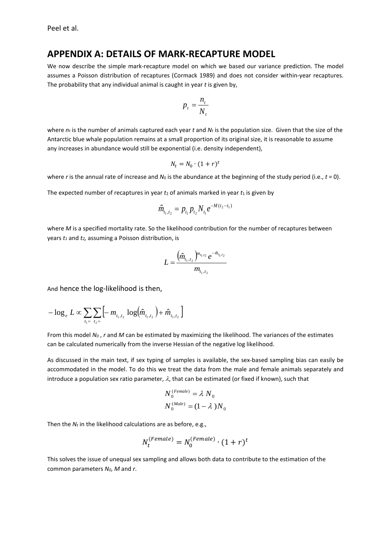### **APPENDIX A: DETAILS OF MARK-RECAPTURE MODEL**

We now describe the simple mark-recapture model on which we based our variance prediction. The model assumes a Poisson distribution of recaptures (Cormack 1989) and does not consider within-year recaptures. The probability that any individual animal is caught in year *t* is given by,

$$
p_t = \frac{n_t}{N_t}
$$

where  $n_t$  is the number of animals captured each year  $t$  and  $N_t$  is the population size. Given that the size of the Antarctic blue whale population remains at a small proportion of its original size, it is reasonable to assume any increases in abundance would still be exponential (i.e. density independent),

$$
N_t = N_0 \cdot (1+r)^t
$$

where *r* is the annual rate of increase and  $N_0$  is the abundance at the beginning of the study period (i.e.,  $t = 0$ ).

The expected number of recaptures in year  $t_2$  of animals marked in year  $t_1$  is given by

$$
\hat{m}_{t_1,t_2} = p_{t_1} p_{t_2} N_{t_1} e^{-M(t_2 - t_1)}
$$

where *M* is a specified mortality rate. So the likelihood contribution for the number of recaptures between years *t1* and *t2,* assuming a Poisson distribution, is

$$
L = \frac{\left(\hat{m}_{t_1,t_2}\right)^{m_{t_1,t_2}} e^{-\hat{m}_{t_1,t_2}}}{m_{t_1,t_2}}
$$

And hence the log-likelihood is then,

$$
-\log_e L \propto \sum_{t_1 = t_2=}\sum_{t_2=}\Big[-m_{t_1,t_2}\log(\hat{m}_{t_1,t_2})+\hat{m}_{t_1,t_2}\Big]
$$

From this model *N0* , *r* and *M* can be estimated by maximizing the likelihood. The variances of the estimates can be calculated numerically from the inverse Hessian of the negative log likelihood.

As discussed in the main text, if sex typing of samples is available, the sex-based sampling bias can easily be accommodated in the model. To do this we treat the data from the male and female animals separately and introduce a population sex ratio parameter,  $\lambda$ , that can be estimated (or fixed if known), such that

$$
N_0^{(Female)} = \lambda N_0
$$
  

$$
N_0^{(Male)} = (1 - \lambda)N_0
$$

Then the  $N_t$  in the likelihood calculations are as before, e.g.,

$$
N_t^{(Female)} = N_0^{(Female)} \cdot (1+r)^t
$$

This solves the issue of unequal sex sampling and allows both data to contribute to the estimation of the common parameters *N0*, *M* and *r*.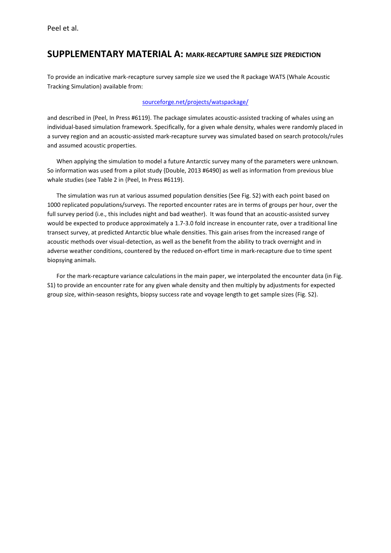## **SUPPLEMENTARY MATERIAL A: MARK-RECAPTURE SAMPLE SIZE PREDICTION**

To provide an indicative mark-recapture survey sample size we used the R package WATS (Whale Acoustic Tracking Simulation) available from:

#### [sourceforge.net/projects/watspackage/](https://sourceforge.net/projects/watspackage/)

and described in {Peel, In Press #6119}. The package simulates acoustic-assisted tracking of whales using an individual-based simulation framework. Specifically, for a given whale density, whales were randomly placed in a survey region and an acoustic-assisted mark-recapture survey was simulated based on search protocols/rules and assumed acoustic properties.

When applying the simulation to model a future Antarctic survey many of the parameters were unknown. So information was used from a pilot study {Double, 2013 #6490} as well as information from previous blue whale studies (see Table 2 in {Peel, In Press #6119).

The simulation was run at various assumed population densities (See Fig. S2) with each point based on 1000 replicated populations/surveys. The reported encounter rates are in terms of groups per hour, over the full survey period (i.e., this includes night and bad weather). It was found that an acoustic-assisted survey would be expected to produce approximately a 1.7-3.0 fold increase in encounter rate, over a traditional line transect survey, at predicted Antarctic blue whale densities. This gain arises from the increased range of acoustic methods over visual-detection, as well as the benefit from the ability to track overnight and in adverse weather conditions, countered by the reduced on-effort time in mark-recapture due to time spent biopsying animals.

For the mark-recapture variance calculations in the main paper, we interpolated the encounter data (in Fig. S1) to provide an encounter rate for any given whale density and then multiply by adjustments for expected group size, within-season resights, biopsy success rate and voyage length to get sample sizes (Fig. S2).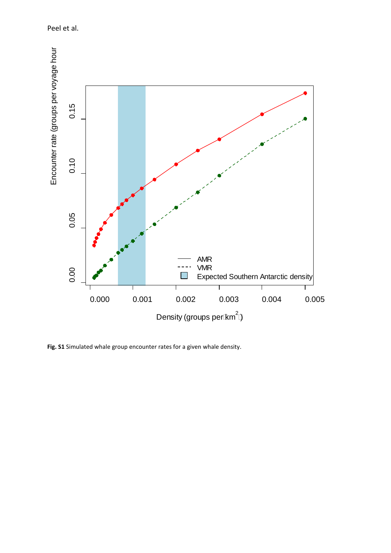Peel et al.



**Fig. S1** Simulated whale group encounter rates for a given whale density.